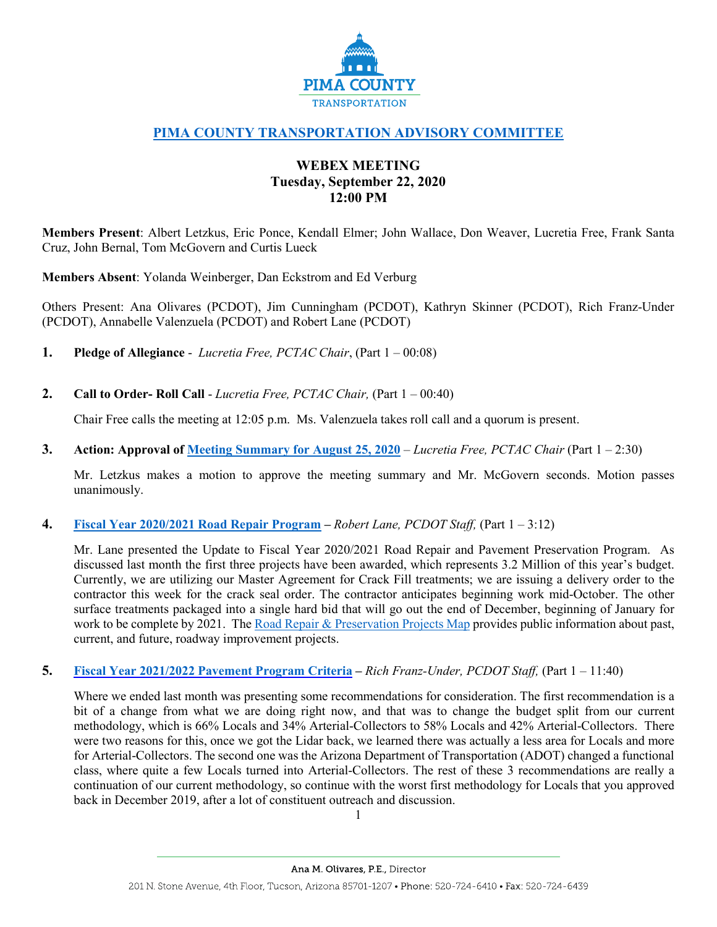

# **[PIMA COUNTY TRANSPORTATION ADVISORY COMMITTEE](https://webcms.pima.gov/cms/One.aspx?portalId=169&pageId=355530)**

# **WEBEX MEETING Tuesday, September 22, 2020 12:00 PM**

**Members Present**: Albert Letzkus, Eric Ponce, Kendall Elmer; John Wallace, Don Weaver, Lucretia Free, Frank Santa Cruz, John Bernal, Tom McGovern and Curtis Lueck

**Members Absent**: Yolanda Weinberger, Dan Eckstrom and Ed Verburg

Others Present: Ana Olivares (PCDOT), Jim Cunningham (PCDOT), Kathryn Skinner (PCDOT), Rich Franz-Under (PCDOT), Annabelle Valenzuela (PCDOT) and Robert Lane (PCDOT)

- **1. Pledge of Allegiance**  *Lucretia Free, PCTAC Chair*, (Part 1 00:08)
- **2. Call to Order- Roll Call**  *Lucretia Free, PCTAC Chair,* (Part 1 00:40)

Chair Free calls the meeting at 12:05 p.m. Ms. Valenzuela takes roll call and a quorum is present.

**3. Action: Approval of [Meeting Summary for August 25, 2020](https://webcms.pima.gov/UserFiles/Servers/Server_6/File/Government/Transportation/TransportationAdvisoryCommittee/Minutes/08252020_PCTAC_DraftMtgSummary.v2.pdf)** – *Lucretia Free, PCTAC Chair* (Part 1 – 2:30)

Mr. Letzkus makes a motion to approve the meeting summary and Mr. McGovern seconds. Motion passes unanimously.

**4. [Fiscal Year 2020/2021 Road Repair Program](https://webcms.pima.gov/UserFiles/Servers/Server_6/File/Government/Transportation/TransportationAdvisoryCommittee/DocumentsTab/Sep22.2020/PTAC_20200922_PavementProgramUpdate.pdf) –** *Robert Lane, PCDOT Staff,* (Part 1 – 3:12)

Mr. Lane presented the Update to Fiscal Year 2020/2021 Road Repair and Pavement Preservation Program. As discussed last month the first three projects have been awarded, which represents 3.2 Million of this year's budget. Currently, we are utilizing our Master Agreement for Crack Fill treatments; we are issuing a delivery order to the contractor this week for the crack seal order. The contractor anticipates beginning work mid-October. The other surface treatments packaged into a single hard bid that will go out the end of December, beginning of January for work to be complete by 2021. The [Road Repair & Preservation](https://pimamaps.maps.arcgis.com/apps/webappviewer/index.html?id=e26b873e39b34381980ae5a89a767817) Projects Map provides public information about past, current, and future, roadway improvement projects.

**5. [Fiscal Year 2021/2022 Pavement Program Criteria](https://webcms.pima.gov/UserFiles/Servers/Server_6/File/Government/Transportation/TransportationAdvisoryCommittee/DocumentsTab/Sep22.2020/20200922_Criteria_for_full_committee-rfu-v2.pdf) –** *Rich Franz-Under, PCDOT Staff,* (Part 1 – 11:40)

Where we ended last month was presenting some recommendations for consideration. The first recommendation is a bit of a change from what we are doing right now, and that was to change the budget split from our current methodology, which is 66% Locals and 34% Arterial-Collectors to 58% Locals and 42% Arterial-Collectors. There were two reasons for this, once we got the Lidar back, we learned there was actually a less area for Locals and more for Arterial-Collectors. The second one was the Arizona Department of Transportation (ADOT) changed a functional class, where quite a few Locals turned into Arterial-Collectors. The rest of these 3 recommendations are really a continuation of our current methodology, so continue with the worst first methodology for Locals that you approved back in December 2019, after a lot of constituent outreach and discussion.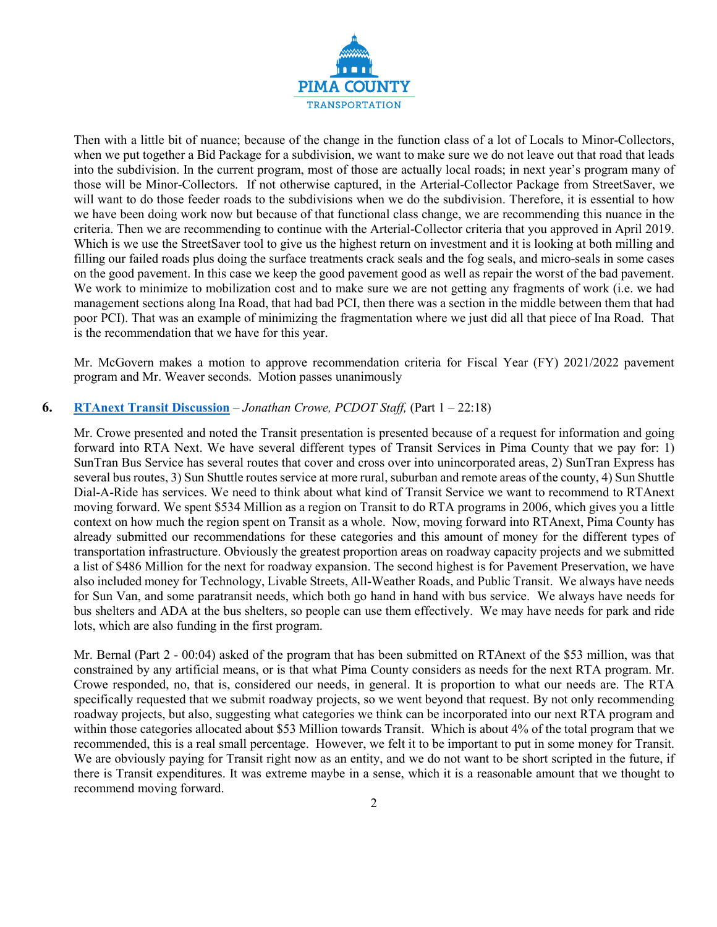

Then with a little bit of nuance; because of the change in the function class of a lot of Locals to Minor-Collectors, when we put together a Bid Package for a subdivision, we want to make sure we do not leave out that road that leads into the subdivision. In the current program, most of those are actually local roads; in next year's program many of those will be Minor-Collectors. If not otherwise captured, in the Arterial-Collector Package from StreetSaver, we will want to do those feeder roads to the subdivisions when we do the subdivision. Therefore, it is essential to how we have been doing work now but because of that functional class change, we are recommending this nuance in the criteria. Then we are recommending to continue with the Arterial-Collector criteria that you approved in April 2019. Which is we use the StreetSaver tool to give us the highest return on investment and it is looking at both milling and filling our failed roads plus doing the surface treatments crack seals and the fog seals, and micro-seals in some cases on the good pavement. In this case we keep the good pavement good as well as repair the worst of the bad pavement. We work to minimize to mobilization cost and to make sure we are not getting any fragments of work (i.e. we had management sections along Ina Road, that had bad PCI, then there was a section in the middle between them that had poor PCI). That was an example of minimizing the fragmentation where we just did all that piece of Ina Road. That is the recommendation that we have for this year.

Mr. McGovern makes a motion to approve recommendation criteria for Fiscal Year (FY) 2021/2022 pavement program and Mr. Weaver seconds. Motion passes unanimously

## **6. [RTAnext Transit Discussion](https://webcms.pima.gov/UserFiles/Servers/Server_6/File/Government/Transportation/TransportationAdvisoryCommittee/DocumentsTab/Sep22.2020/PCTAC_RTAnextTransit_091620.pdf)** – *Jonathan Crowe, PCDOT Staff,* (Part 1 – 22:18)

Mr. Crowe presented and noted the Transit presentation is presented because of a request for information and going forward into RTA Next. We have several different types of Transit Services in Pima County that we pay for: 1) SunTran Bus Service has several routes that cover and cross over into unincorporated areas, 2) SunTran Express has several bus routes, 3) Sun Shuttle routes service at more rural, suburban and remote areas of the county, 4) Sun Shuttle Dial-A-Ride has services. We need to think about what kind of Transit Service we want to recommend to RTAnext moving forward. We spent \$534 Million as a region on Transit to do RTA programs in 2006, which gives you a little context on how much the region spent on Transit as a whole. Now, moving forward into RTAnext, Pima County has already submitted our recommendations for these categories and this amount of money for the different types of transportation infrastructure. Obviously the greatest proportion areas on roadway capacity projects and we submitted a list of \$486 Million for the next for roadway expansion. The second highest is for Pavement Preservation, we have also included money for Technology, Livable Streets, All-Weather Roads, and Public Transit. We always have needs for Sun Van, and some paratransit needs, which both go hand in hand with bus service. We always have needs for bus shelters and ADA at the bus shelters, so people can use them effectively. We may have needs for park and ride lots, which are also funding in the first program.

Mr. Bernal (Part 2 - 00:04) asked of the program that has been submitted on RTAnext of the \$53 million, was that constrained by any artificial means, or is that what Pima County considers as needs for the next RTA program. Mr. Crowe responded, no, that is, considered our needs, in general. It is proportion to what our needs are. The RTA specifically requested that we submit roadway projects, so we went beyond that request. By not only recommending roadway projects, but also, suggesting what categories we think can be incorporated into our next RTA program and within those categories allocated about \$53 Million towards Transit. Which is about 4% of the total program that we recommended, this is a real small percentage. However, we felt it to be important to put in some money for Transit. We are obviously paying for Transit right now as an entity, and we do not want to be short scripted in the future, if there is Transit expenditures. It was extreme maybe in a sense, which it is a reasonable amount that we thought to recommend moving forward.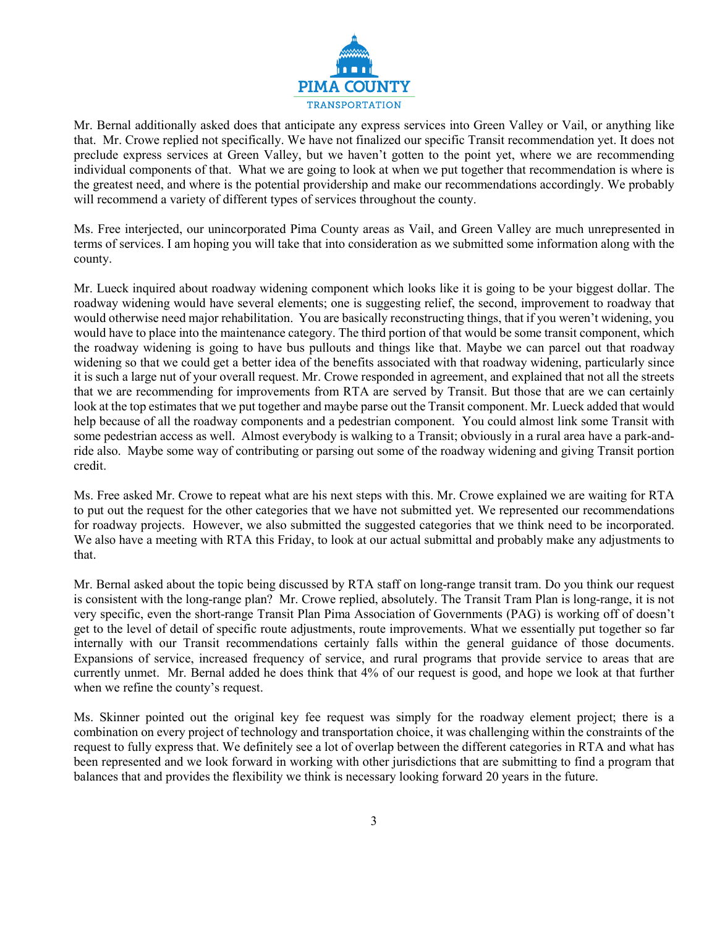

Mr. Bernal additionally asked does that anticipate any express services into Green Valley or Vail, or anything like that. Mr. Crowe replied not specifically. We have not finalized our specific Transit recommendation yet. It does not preclude express services at Green Valley, but we haven't gotten to the point yet, where we are recommending individual components of that. What we are going to look at when we put together that recommendation is where is the greatest need, and where is the potential providership and make our recommendations accordingly. We probably will recommend a variety of different types of services throughout the county.

Ms. Free interjected, our unincorporated Pima County areas as Vail, and Green Valley are much unrepresented in terms of services. I am hoping you will take that into consideration as we submitted some information along with the county.

Mr. Lueck inquired about roadway widening component which looks like it is going to be your biggest dollar. The roadway widening would have several elements; one is suggesting relief, the second, improvement to roadway that would otherwise need major rehabilitation. You are basically reconstructing things, that if you weren't widening, you would have to place into the maintenance category. The third portion of that would be some transit component, which the roadway widening is going to have bus pullouts and things like that. Maybe we can parcel out that roadway widening so that we could get a better idea of the benefits associated with that roadway widening, particularly since it is such a large nut of your overall request. Mr. Crowe responded in agreement, and explained that not all the streets that we are recommending for improvements from RTA are served by Transit. But those that are we can certainly look at the top estimates that we put together and maybe parse out the Transit component. Mr. Lueck added that would help because of all the roadway components and a pedestrian component. You could almost link some Transit with some pedestrian access as well. Almost everybody is walking to a Transit; obviously in a rural area have a park-andride also. Maybe some way of contributing or parsing out some of the roadway widening and giving Transit portion credit.

Ms. Free asked Mr. Crowe to repeat what are his next steps with this. Mr. Crowe explained we are waiting for RTA to put out the request for the other categories that we have not submitted yet. We represented our recommendations for roadway projects. However, we also submitted the suggested categories that we think need to be incorporated. We also have a meeting with RTA this Friday, to look at our actual submittal and probably make any adjustments to that.

Mr. Bernal asked about the topic being discussed by RTA staff on long-range transit tram. Do you think our request is consistent with the long-range plan? Mr. Crowe replied, absolutely. The Transit Tram Plan is long-range, it is not very specific, even the short-range Transit Plan Pima Association of Governments (PAG) is working off of doesn't get to the level of detail of specific route adjustments, route improvements. What we essentially put together so far internally with our Transit recommendations certainly falls within the general guidance of those documents. Expansions of service, increased frequency of service, and rural programs that provide service to areas that are currently unmet. Mr. Bernal added he does think that 4% of our request is good, and hope we look at that further when we refine the county's request.

Ms. Skinner pointed out the original key fee request was simply for the roadway element project; there is a combination on every project of technology and transportation choice, it was challenging within the constraints of the request to fully express that. We definitely see a lot of overlap between the different categories in RTA and what has been represented and we look forward in working with other jurisdictions that are submitting to find a program that balances that and provides the flexibility we think is necessary looking forward 20 years in the future.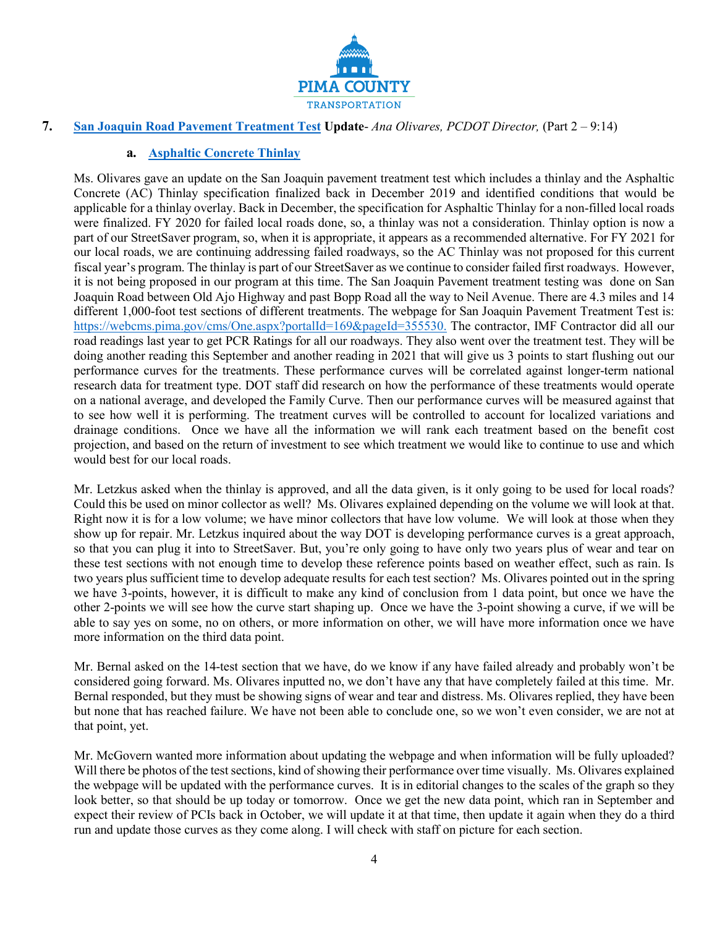

# **7. [San Joaquin Road Pavement Treatment Test](https://webcms.pima.gov/cms/One.aspx?portalId=169&pageId=425684) Update**- *Ana Olivares, PCDOT Director,* (Part 2 – 9:14)

## **a. [Asphaltic Concrete Thinlay](https://webcms.pima.gov/UserFiles/Servers/Server_6/File/Government/Transportation/TransportationAdvisoryCommittee/DocumentsTab/Sep22.2020/ThinlayAsphalt_StaffReport_092220ptx.pdf)**

Ms. Olivares gave an update on the San Joaquin pavement treatment test which includes a thinlay and the Asphaltic Concrete (AC) Thinlay specification finalized back in December 2019 and identified conditions that would be applicable for a thinlay overlay. Back in December, the specification for Asphaltic Thinlay for a non-filled local roads were finalized. FY 2020 for failed local roads done, so, a thinlay was not a consideration. Thinlay option is now a part of our StreetSaver program, so, when it is appropriate, it appears as a recommended alternative. For FY 2021 for our local roads, we are continuing addressing failed roadways, so the AC Thinlay was not proposed for this current fiscal year's program. The thinlay is part of our StreetSaver as we continue to consider failed first roadways. However, it is not being proposed in our program at this time. The San Joaquin Pavement treatment testing was done on San Joaquin Road between Old Ajo Highway and past Bopp Road all the way to Neil Avenue. There are 4.3 miles and 14 different 1,000-foot test sections of different treatments. The webpage for San Joaquin Pavement Treatment Test is: [https://webcms.pima.gov/cms/One.aspx?portalId=169&pageId=355530.](https://webcms.pima.gov/cms/One.aspx?portalId=169&pageId=355530) The contractor, IMF Contractor did all our road readings last year to get PCR Ratings for all our roadways. They also went over the treatment test. They will be doing another reading this September and another reading in 2021 that will give us 3 points to start flushing out our performance curves for the treatments. These performance curves will be correlated against longer-term national research data for treatment type. DOT staff did research on how the performance of these treatments would operate on a national average, and developed the Family Curve. Then our performance curves will be measured against that to see how well it is performing. The treatment curves will be controlled to account for localized variations and drainage conditions. Once we have all the information we will rank each treatment based on the benefit cost projection, and based on the return of investment to see which treatment we would like to continue to use and which would best for our local roads.

Mr. Letzkus asked when the thinlay is approved, and all the data given, is it only going to be used for local roads? Could this be used on minor collector as well? Ms. Olivares explained depending on the volume we will look at that. Right now it is for a low volume; we have minor collectors that have low volume. We will look at those when they show up for repair. Mr. Letzkus inquired about the way DOT is developing performance curves is a great approach, so that you can plug it into to StreetSaver. But, you're only going to have only two years plus of wear and tear on these test sections with not enough time to develop these reference points based on weather effect, such as rain. Is two years plus sufficient time to develop adequate results for each test section? Ms. Olivares pointed out in the spring we have 3-points, however, it is difficult to make any kind of conclusion from 1 data point, but once we have the other 2-points we will see how the curve start shaping up. Once we have the 3-point showing a curve, if we will be able to say yes on some, no on others, or more information on other, we will have more information once we have more information on the third data point.

Mr. Bernal asked on the 14-test section that we have, do we know if any have failed already and probably won't be considered going forward. Ms. Olivares inputted no, we don't have any that have completely failed at this time. Mr. Bernal responded, but they must be showing signs of wear and tear and distress. Ms. Olivares replied, they have been but none that has reached failure. We have not been able to conclude one, so we won't even consider, we are not at that point, yet.

Mr. McGovern wanted more information about updating the webpage and when information will be fully uploaded? Will there be photos of the test sections, kind of showing their performance over time visually. Ms. Olivares explained the webpage will be updated with the performance curves. It is in editorial changes to the scales of the graph so they look better, so that should be up today or tomorrow. Once we get the new data point, which ran in September and expect their review of PCIs back in October, we will update it at that time, then update it again when they do a third run and update those curves as they come along. I will check with staff on picture for each section.